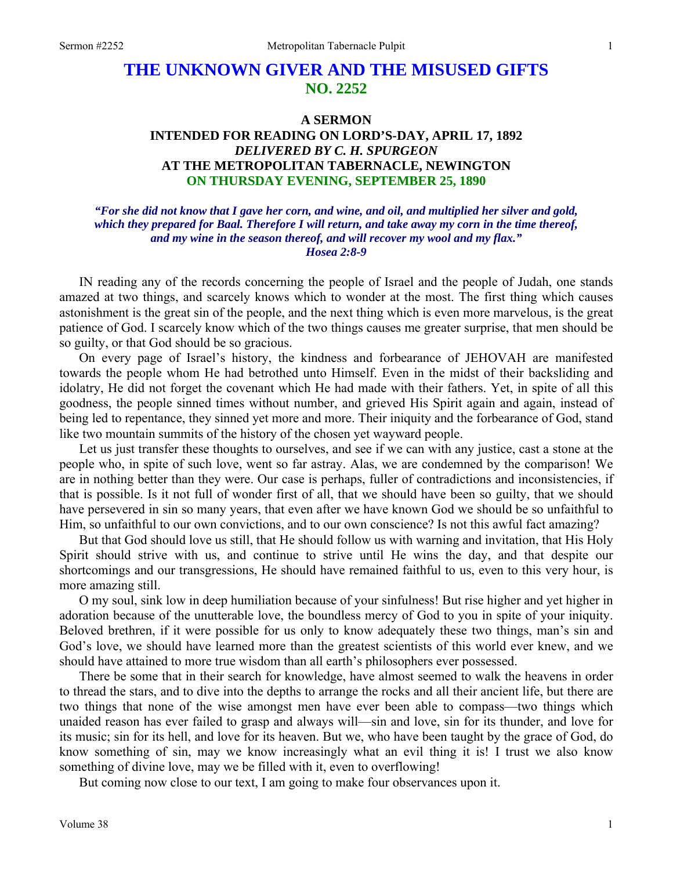## **THE UNKNOWN GIVER AND THE MISUSED GIFTS NO. 2252**

## **A SERMON INTENDED FOR READING ON LORD'S-DAY, APRIL 17, 1892**  *DELIVERED BY C. H. SPURGEON*  **AT THE METROPOLITAN TABERNACLE, NEWINGTON ON THURSDAY EVENING, SEPTEMBER 25, 1890**

*"For she did not know that I gave her corn, and wine, and oil, and multiplied her silver and gold, which they prepared for Baal. Therefore I will return, and take away my corn in the time thereof, and my wine in the season thereof, and will recover my wool and my flax." Hosea 2:8-9*

IN reading any of the records concerning the people of Israel and the people of Judah, one stands amazed at two things, and scarcely knows which to wonder at the most. The first thing which causes astonishment is the great sin of the people, and the next thing which is even more marvelous, is the great patience of God. I scarcely know which of the two things causes me greater surprise, that men should be so guilty, or that God should be so gracious.

On every page of Israel's history, the kindness and forbearance of JEHOVAH are manifested towards the people whom He had betrothed unto Himself. Even in the midst of their backsliding and idolatry, He did not forget the covenant which He had made with their fathers. Yet, in spite of all this goodness, the people sinned times without number, and grieved His Spirit again and again, instead of being led to repentance, they sinned yet more and more. Their iniquity and the forbearance of God, stand like two mountain summits of the history of the chosen yet wayward people.

Let us just transfer these thoughts to ourselves, and see if we can with any justice, cast a stone at the people who, in spite of such love, went so far astray. Alas, we are condemned by the comparison! We are in nothing better than they were. Our case is perhaps, fuller of contradictions and inconsistencies, if that is possible. Is it not full of wonder first of all, that we should have been so guilty, that we should have persevered in sin so many years, that even after we have known God we should be so unfaithful to Him, so unfaithful to our own convictions, and to our own conscience? Is not this awful fact amazing?

But that God should love us still, that He should follow us with warning and invitation, that His Holy Spirit should strive with us, and continue to strive until He wins the day, and that despite our shortcomings and our transgressions, He should have remained faithful to us, even to this very hour, is more amazing still.

O my soul, sink low in deep humiliation because of your sinfulness! But rise higher and yet higher in adoration because of the unutterable love, the boundless mercy of God to you in spite of your iniquity. Beloved brethren, if it were possible for us only to know adequately these two things, man's sin and God's love, we should have learned more than the greatest scientists of this world ever knew, and we should have attained to more true wisdom than all earth's philosophers ever possessed.

There be some that in their search for knowledge, have almost seemed to walk the heavens in order to thread the stars, and to dive into the depths to arrange the rocks and all their ancient life, but there are two things that none of the wise amongst men have ever been able to compass—two things which unaided reason has ever failed to grasp and always will—sin and love, sin for its thunder, and love for its music; sin for its hell, and love for its heaven. But we, who have been taught by the grace of God, do know something of sin, may we know increasingly what an evil thing it is! I trust we also know something of divine love, may we be filled with it, even to overflowing!

But coming now close to our text, I am going to make four observances upon it.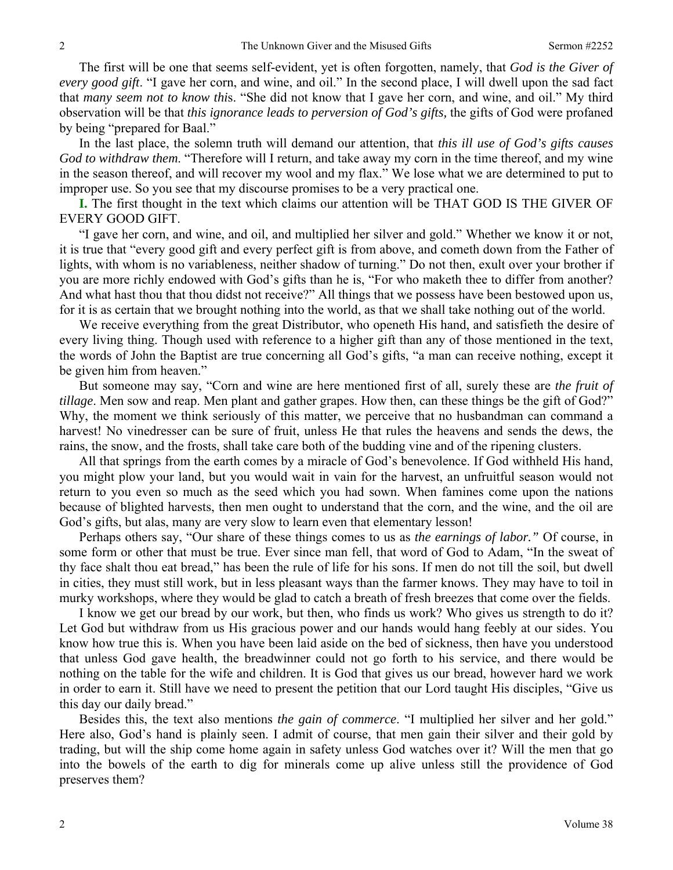The first will be one that seems self-evident, yet is often forgotten, namely, that *God is the Giver of every good gift*. "I gave her corn, and wine, and oil." In the second place, I will dwell upon the sad fact that *many seem not to know thi*s. "She did not know that I gave her corn, and wine, and oil." My third observation will be that *this ignorance leads to perversion of God's gifts,* the gifts of God were profaned by being "prepared for Baal."

In the last place, the solemn truth will demand our attention, that *this ill use of God's gifts causes God to withdraw them*. "Therefore will I return, and take away my corn in the time thereof, and my wine in the season thereof, and will recover my wool and my flax." We lose what we are determined to put to improper use. So you see that my discourse promises to be a very practical one.

**I.** The first thought in the text which claims our attention will be THAT GOD IS THE GIVER OF EVERY GOOD GIFT.

"I gave her corn, and wine, and oil, and multiplied her silver and gold." Whether we know it or not, it is true that "every good gift and every perfect gift is from above, and cometh down from the Father of lights, with whom is no variableness, neither shadow of turning." Do not then, exult over your brother if you are more richly endowed with God's gifts than he is, "For who maketh thee to differ from another? And what hast thou that thou didst not receive?" All things that we possess have been bestowed upon us, for it is as certain that we brought nothing into the world, as that we shall take nothing out of the world.

We receive everything from the great Distributor, who openeth His hand, and satisfieth the desire of every living thing. Though used with reference to a higher gift than any of those mentioned in the text, the words of John the Baptist are true concerning all God's gifts, "a man can receive nothing, except it be given him from heaven."

But someone may say, "Corn and wine are here mentioned first of all, surely these are *the fruit of tillage*. Men sow and reap. Men plant and gather grapes. How then, can these things be the gift of God?" Why, the moment we think seriously of this matter, we perceive that no husbandman can command a harvest! No vinedresser can be sure of fruit, unless He that rules the heavens and sends the dews, the rains, the snow, and the frosts, shall take care both of the budding vine and of the ripening clusters.

All that springs from the earth comes by a miracle of God's benevolence. If God withheld His hand, you might plow your land, but you would wait in vain for the harvest, an unfruitful season would not return to you even so much as the seed which you had sown. When famines come upon the nations because of blighted harvests, then men ought to understand that the corn, and the wine, and the oil are God's gifts, but alas, many are very slow to learn even that elementary lesson!

Perhaps others say, "Our share of these things comes to us as *the earnings of labor."* Of course, in some form or other that must be true. Ever since man fell, that word of God to Adam, "In the sweat of thy face shalt thou eat bread," has been the rule of life for his sons. If men do not till the soil, but dwell in cities, they must still work, but in less pleasant ways than the farmer knows. They may have to toil in murky workshops, where they would be glad to catch a breath of fresh breezes that come over the fields.

I know we get our bread by our work, but then, who finds us work? Who gives us strength to do it? Let God but withdraw from us His gracious power and our hands would hang feebly at our sides. You know how true this is. When you have been laid aside on the bed of sickness, then have you understood that unless God gave health, the breadwinner could not go forth to his service, and there would be nothing on the table for the wife and children. It is God that gives us our bread, however hard we work in order to earn it. Still have we need to present the petition that our Lord taught His disciples, "Give us this day our daily bread."

Besides this, the text also mentions *the gain of commerce*. "I multiplied her silver and her gold." Here also, God's hand is plainly seen. I admit of course, that men gain their silver and their gold by trading, but will the ship come home again in safety unless God watches over it? Will the men that go into the bowels of the earth to dig for minerals come up alive unless still the providence of God preserves them?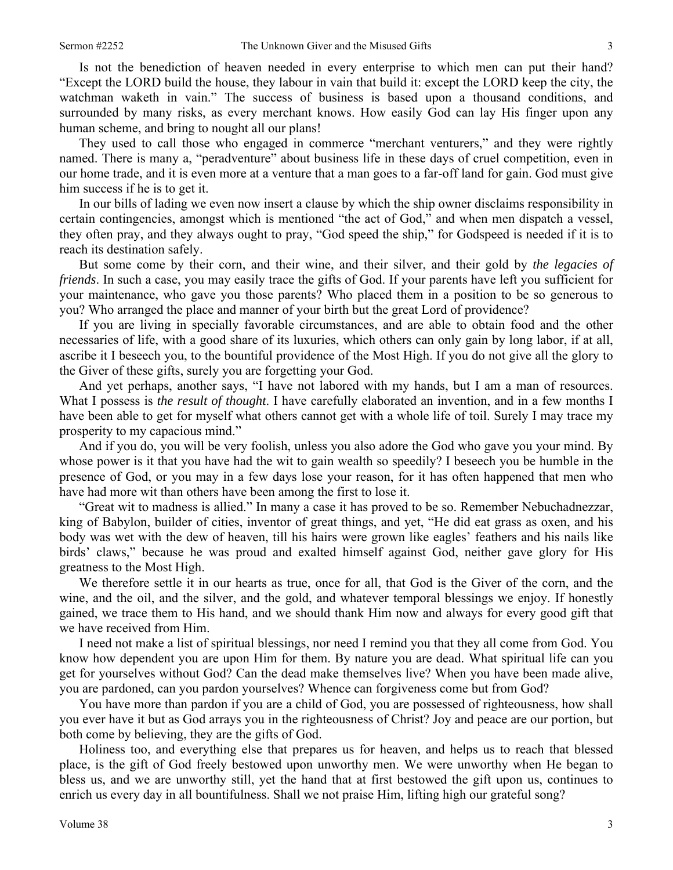Is not the benediction of heaven needed in every enterprise to which men can put their hand? "Except the LORD build the house, they labour in vain that build it: except the LORD keep the city, the watchman waketh in vain." The success of business is based upon a thousand conditions, and surrounded by many risks, as every merchant knows. How easily God can lay His finger upon any human scheme, and bring to nought all our plans!

They used to call those who engaged in commerce "merchant venturers," and they were rightly named. There is many a, "peradventure" about business life in these days of cruel competition, even in our home trade, and it is even more at a venture that a man goes to a far-off land for gain. God must give him success if he is to get it.

In our bills of lading we even now insert a clause by which the ship owner disclaims responsibility in certain contingencies, amongst which is mentioned "the act of God," and when men dispatch a vessel, they often pray, and they always ought to pray, "God speed the ship," for Godspeed is needed if it is to reach its destination safely.

But some come by their corn, and their wine, and their silver, and their gold by *the legacies of friends*. In such a case, you may easily trace the gifts of God. If your parents have left you sufficient for your maintenance, who gave you those parents? Who placed them in a position to be so generous to you? Who arranged the place and manner of your birth but the great Lord of providence?

If you are living in specially favorable circumstances, and are able to obtain food and the other necessaries of life, with a good share of its luxuries, which others can only gain by long labor, if at all, ascribe it I beseech you, to the bountiful providence of the Most High. If you do not give all the glory to the Giver of these gifts, surely you are forgetting your God.

And yet perhaps, another says, "I have not labored with my hands, but I am a man of resources. What I possess is *the result of thought*. I have carefully elaborated an invention, and in a few months I have been able to get for myself what others cannot get with a whole life of toil. Surely I may trace my prosperity to my capacious mind."

And if you do, you will be very foolish, unless you also adore the God who gave you your mind. By whose power is it that you have had the wit to gain wealth so speedily? I beseech you be humble in the presence of God, or you may in a few days lose your reason, for it has often happened that men who have had more wit than others have been among the first to lose it.

"Great wit to madness is allied." In many a case it has proved to be so. Remember Nebuchadnezzar, king of Babylon, builder of cities, inventor of great things, and yet, "He did eat grass as oxen, and his body was wet with the dew of heaven, till his hairs were grown like eagles' feathers and his nails like birds' claws," because he was proud and exalted himself against God, neither gave glory for His greatness to the Most High.

We therefore settle it in our hearts as true, once for all, that God is the Giver of the corn, and the wine, and the oil, and the silver, and the gold, and whatever temporal blessings we enjoy. If honestly gained, we trace them to His hand, and we should thank Him now and always for every good gift that we have received from Him.

I need not make a list of spiritual blessings, nor need I remind you that they all come from God. You know how dependent you are upon Him for them. By nature you are dead. What spiritual life can you get for yourselves without God? Can the dead make themselves live? When you have been made alive, you are pardoned, can you pardon yourselves? Whence can forgiveness come but from God?

You have more than pardon if you are a child of God, you are possessed of righteousness, how shall you ever have it but as God arrays you in the righteousness of Christ? Joy and peace are our portion, but both come by believing, they are the gifts of God.

Holiness too, and everything else that prepares us for heaven, and helps us to reach that blessed place, is the gift of God freely bestowed upon unworthy men. We were unworthy when He began to bless us, and we are unworthy still, yet the hand that at first bestowed the gift upon us, continues to enrich us every day in all bountifulness. Shall we not praise Him, lifting high our grateful song?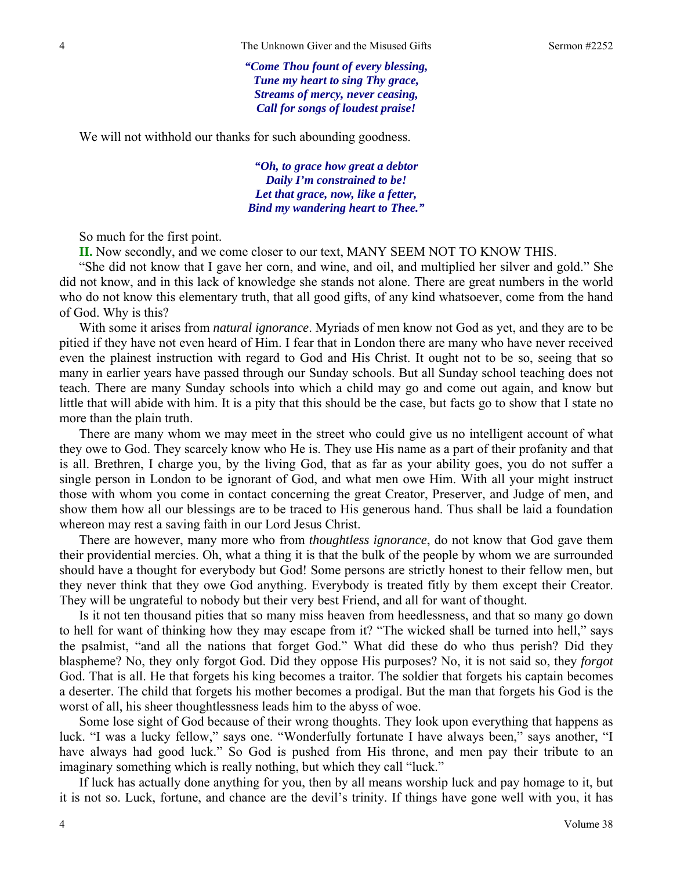*"Come Thou fount of every blessing, Tune my heart to sing Thy grace, Streams of mercy, never ceasing, Call for songs of loudest praise!* 

We will not withhold our thanks for such abounding goodness.

*"Oh, to grace how great a debtor Daily I'm constrained to be! Let that grace, now, like a fetter, Bind my wandering heart to Thee."* 

So much for the first point.

**II.** Now secondly, and we come closer to our text, MANY SEEM NOT TO KNOW THIS.

"She did not know that I gave her corn, and wine, and oil, and multiplied her silver and gold." She did not know, and in this lack of knowledge she stands not alone. There are great numbers in the world who do not know this elementary truth, that all good gifts, of any kind whatsoever, come from the hand of God. Why is this?

With some it arises from *natural ignorance*. Myriads of men know not God as yet, and they are to be pitied if they have not even heard of Him. I fear that in London there are many who have never received even the plainest instruction with regard to God and His Christ. It ought not to be so, seeing that so many in earlier years have passed through our Sunday schools. But all Sunday school teaching does not teach. There are many Sunday schools into which a child may go and come out again, and know but little that will abide with him. It is a pity that this should be the case, but facts go to show that I state no more than the plain truth.

There are many whom we may meet in the street who could give us no intelligent account of what they owe to God. They scarcely know who He is. They use His name as a part of their profanity and that is all. Brethren, I charge you, by the living God, that as far as your ability goes, you do not suffer a single person in London to be ignorant of God, and what men owe Him. With all your might instruct those with whom you come in contact concerning the great Creator, Preserver, and Judge of men, and show them how all our blessings are to be traced to His generous hand. Thus shall be laid a foundation whereon may rest a saving faith in our Lord Jesus Christ.

There are however, many more who from *thoughtless ignorance*, do not know that God gave them their providential mercies. Oh, what a thing it is that the bulk of the people by whom we are surrounded should have a thought for everybody but God! Some persons are strictly honest to their fellow men, but they never think that they owe God anything. Everybody is treated fitly by them except their Creator. They will be ungrateful to nobody but their very best Friend, and all for want of thought.

Is it not ten thousand pities that so many miss heaven from heedlessness, and that so many go down to hell for want of thinking how they may escape from it? "The wicked shall be turned into hell," says the psalmist, "and all the nations that forget God." What did these do who thus perish? Did they blaspheme? No, they only forgot God. Did they oppose His purposes? No, it is not said so, they *forgot*  God. That is all. He that forgets his king becomes a traitor. The soldier that forgets his captain becomes a deserter. The child that forgets his mother becomes a prodigal. But the man that forgets his God is the worst of all, his sheer thoughtlessness leads him to the abyss of woe.

Some lose sight of God because of their wrong thoughts. They look upon everything that happens as luck. "I was a lucky fellow," says one. "Wonderfully fortunate I have always been," says another, "I have always had good luck." So God is pushed from His throne, and men pay their tribute to an imaginary something which is really nothing, but which they call "luck."

If luck has actually done anything for you, then by all means worship luck and pay homage to it, but it is not so. Luck, fortune, and chance are the devil's trinity. If things have gone well with you, it has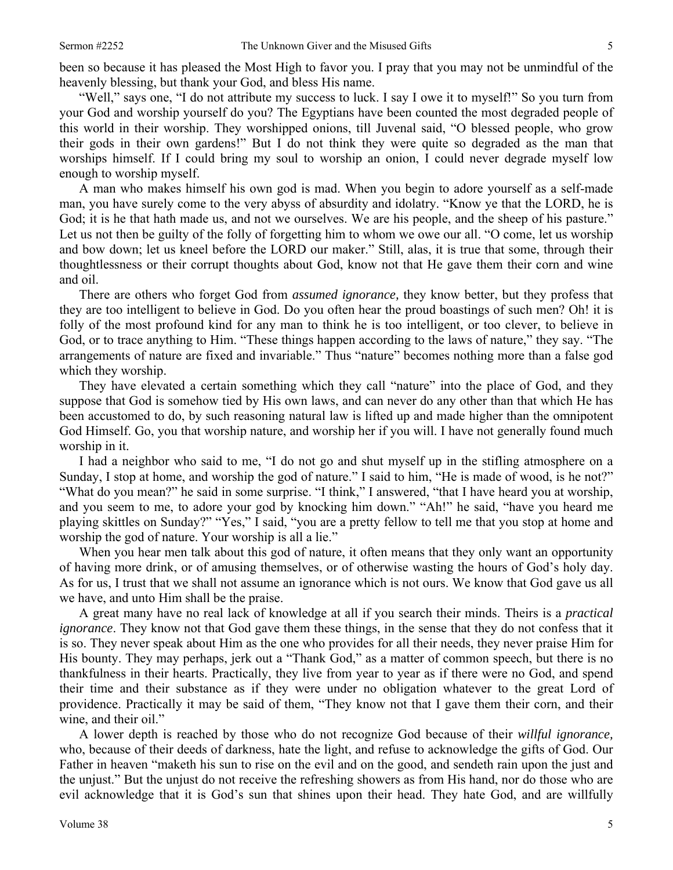been so because it has pleased the Most High to favor you. I pray that you may not be unmindful of the heavenly blessing, but thank your God, and bless His name.

"Well," says one, "I do not attribute my success to luck. I say I owe it to myself!" So you turn from your God and worship yourself do you? The Egyptians have been counted the most degraded people of this world in their worship. They worshipped onions, till Juvenal said, "O blessed people, who grow their gods in their own gardens!" But I do not think they were quite so degraded as the man that worships himself. If I could bring my soul to worship an onion, I could never degrade myself low enough to worship myself.

A man who makes himself his own god is mad. When you begin to adore yourself as a self-made man, you have surely come to the very abyss of absurdity and idolatry. "Know ye that the LORD, he is God; it is he that hath made us, and not we ourselves. We are his people, and the sheep of his pasture." Let us not then be guilty of the folly of forgetting him to whom we owe our all. "O come, let us worship and bow down; let us kneel before the LORD our maker." Still, alas, it is true that some, through their thoughtlessness or their corrupt thoughts about God, know not that He gave them their corn and wine and oil.

There are others who forget God from *assumed ignorance,* they know better, but they profess that they are too intelligent to believe in God. Do you often hear the proud boastings of such men? Oh! it is folly of the most profound kind for any man to think he is too intelligent, or too clever, to believe in God, or to trace anything to Him. "These things happen according to the laws of nature," they say. "The arrangements of nature are fixed and invariable." Thus "nature" becomes nothing more than a false god which they worship.

They have elevated a certain something which they call "nature" into the place of God, and they suppose that God is somehow tied by His own laws, and can never do any other than that which He has been accustomed to do, by such reasoning natural law is lifted up and made higher than the omnipotent God Himself. Go, you that worship nature, and worship her if you will. I have not generally found much worship in it.

I had a neighbor who said to me, "I do not go and shut myself up in the stifling atmosphere on a Sunday, I stop at home, and worship the god of nature." I said to him, "He is made of wood, is he not?" "What do you mean?" he said in some surprise. "I think," I answered, "that I have heard you at worship, and you seem to me, to adore your god by knocking him down." "Ah!" he said, "have you heard me playing skittles on Sunday?" "Yes," I said, "you are a pretty fellow to tell me that you stop at home and worship the god of nature. Your worship is all a lie."

When you hear men talk about this god of nature, it often means that they only want an opportunity of having more drink, or of amusing themselves, or of otherwise wasting the hours of God's holy day. As for us, I trust that we shall not assume an ignorance which is not ours. We know that God gave us all we have, and unto Him shall be the praise.

A great many have no real lack of knowledge at all if you search their minds. Theirs is a *practical ignorance*. They know not that God gave them these things, in the sense that they do not confess that it is so. They never speak about Him as the one who provides for all their needs, they never praise Him for His bounty. They may perhaps, jerk out a "Thank God," as a matter of common speech, but there is no thankfulness in their hearts. Practically, they live from year to year as if there were no God, and spend their time and their substance as if they were under no obligation whatever to the great Lord of providence. Practically it may be said of them, "They know not that I gave them their corn, and their wine, and their oil."

A lower depth is reached by those who do not recognize God because of their *willful ignorance,* who, because of their deeds of darkness, hate the light, and refuse to acknowledge the gifts of God. Our Father in heaven "maketh his sun to rise on the evil and on the good, and sendeth rain upon the just and the unjust." But the unjust do not receive the refreshing showers as from His hand, nor do those who are evil acknowledge that it is God's sun that shines upon their head. They hate God, and are willfully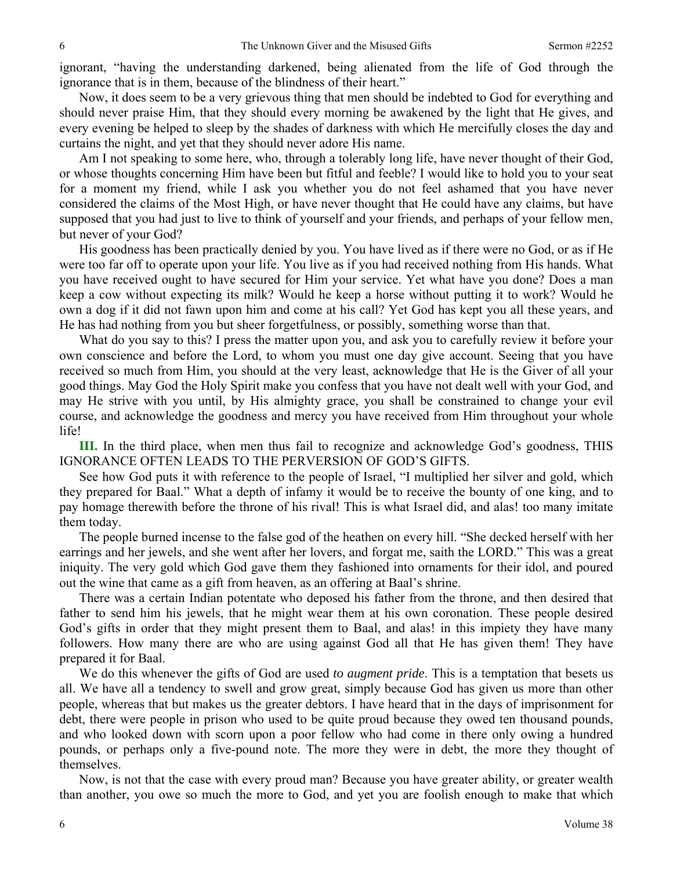ignorant, "having the understanding darkened, being alienated from the life of God through the ignorance that is in them, because of the blindness of their heart."

Now, it does seem to be a very grievous thing that men should be indebted to God for everything and should never praise Him, that they should every morning be awakened by the light that He gives, and every evening be helped to sleep by the shades of darkness with which He mercifully closes the day and curtains the night, and yet that they should never adore His name.

Am I not speaking to some here, who, through a tolerably long life, have never thought of their God, or whose thoughts concerning Him have been but fitful and feeble? I would like to hold you to your seat for a moment my friend, while I ask you whether you do not feel ashamed that you have never considered the claims of the Most High, or have never thought that He could have any claims, but have supposed that you had just to live to think of yourself and your friends, and perhaps of your fellow men, but never of your God?

His goodness has been practically denied by you. You have lived as if there were no God, or as if He were too far off to operate upon your life. You live as if you had received nothing from His hands. What you have received ought to have secured for Him your service. Yet what have you done? Does a man keep a cow without expecting its milk? Would he keep a horse without putting it to work? Would he own a dog if it did not fawn upon him and come at his call? Yet God has kept you all these years, and He has had nothing from you but sheer forgetfulness, or possibly, something worse than that.

What do you say to this? I press the matter upon you, and ask you to carefully review it before your own conscience and before the Lord, to whom you must one day give account. Seeing that you have received so much from Him, you should at the very least, acknowledge that He is the Giver of all your good things. May God the Holy Spirit make you confess that you have not dealt well with your God, and may He strive with you until, by His almighty grace, you shall be constrained to change your evil course, and acknowledge the goodness and mercy you have received from Him throughout your whole life!

**III.** In the third place, when men thus fail to recognize and acknowledge God's goodness, THIS IGNORANCE OFTEN LEADS TO THE PERVERSION OF GOD'S GIFTS.

See how God puts it with reference to the people of Israel, "I multiplied her silver and gold, which they prepared for Baal." What a depth of infamy it would be to receive the bounty of one king, and to pay homage therewith before the throne of his rival! This is what Israel did, and alas! too many imitate them today.

The people burned incense to the false god of the heathen on every hill. "She decked herself with her earrings and her jewels, and she went after her lovers, and forgat me, saith the LORD." This was a great iniquity. The very gold which God gave them they fashioned into ornaments for their idol, and poured out the wine that came as a gift from heaven, as an offering at Baal's shrine.

There was a certain Indian potentate who deposed his father from the throne, and then desired that father to send him his jewels, that he might wear them at his own coronation. These people desired God's gifts in order that they might present them to Baal, and alas! in this impiety they have many followers. How many there are who are using against God all that He has given them! They have prepared it for Baal.

We do this whenever the gifts of God are used *to augment pride*. This is a temptation that besets us all. We have all a tendency to swell and grow great, simply because God has given us more than other people, whereas that but makes us the greater debtors. I have heard that in the days of imprisonment for debt, there were people in prison who used to be quite proud because they owed ten thousand pounds, and who looked down with scorn upon a poor fellow who had come in there only owing a hundred pounds, or perhaps only a five-pound note. The more they were in debt, the more they thought of themselves.

Now, is not that the case with every proud man? Because you have greater ability, or greater wealth than another, you owe so much the more to God, and yet you are foolish enough to make that which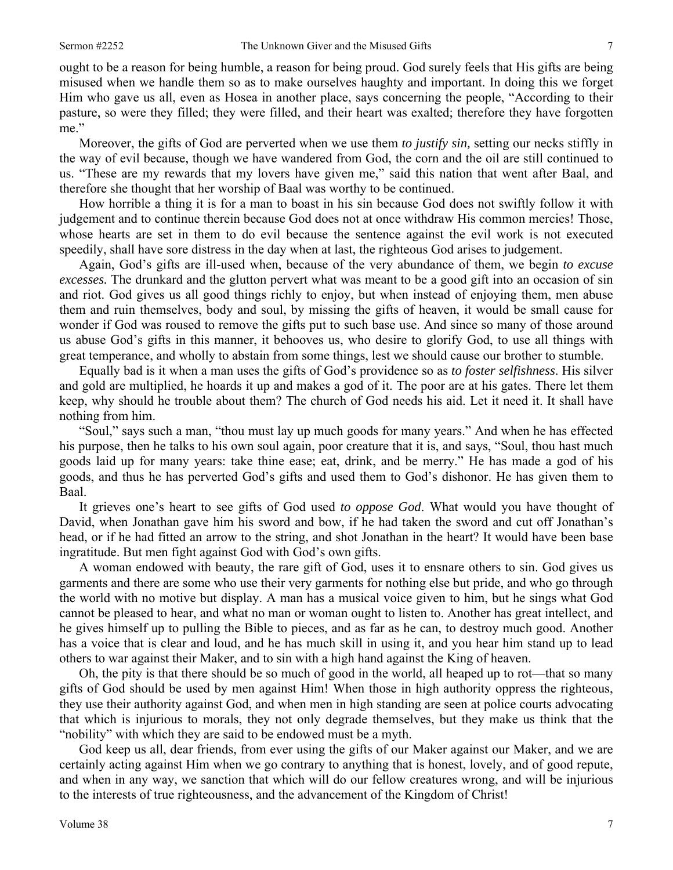ought to be a reason for being humble, a reason for being proud. God surely feels that His gifts are being misused when we handle them so as to make ourselves haughty and important. In doing this we forget Him who gave us all, even as Hosea in another place, says concerning the people, "According to their pasture, so were they filled; they were filled, and their heart was exalted; therefore they have forgotten me."

Moreover, the gifts of God are perverted when we use them *to justify sin,* setting our necks stiffly in the way of evil because, though we have wandered from God, the corn and the oil are still continued to us. "These are my rewards that my lovers have given me," said this nation that went after Baal, and therefore she thought that her worship of Baal was worthy to be continued.

How horrible a thing it is for a man to boast in his sin because God does not swiftly follow it with judgement and to continue therein because God does not at once withdraw His common mercies! Those, whose hearts are set in them to do evil because the sentence against the evil work is not executed speedily, shall have sore distress in the day when at last, the righteous God arises to judgement.

Again, God's gifts are ill-used when, because of the very abundance of them, we begin *to excuse excesses.* The drunkard and the glutton pervert what was meant to be a good gift into an occasion of sin and riot. God gives us all good things richly to enjoy, but when instead of enjoying them, men abuse them and ruin themselves, body and soul, by missing the gifts of heaven, it would be small cause for wonder if God was roused to remove the gifts put to such base use. And since so many of those around us abuse God's gifts in this manner, it behooves us, who desire to glorify God, to use all things with great temperance, and wholly to abstain from some things, lest we should cause our brother to stumble.

Equally bad is it when a man uses the gifts of God's providence so as *to foster selfishness*. His silver and gold are multiplied, he hoards it up and makes a god of it. The poor are at his gates. There let them keep, why should he trouble about them? The church of God needs his aid. Let it need it. It shall have nothing from him.

"Soul," says such a man, "thou must lay up much goods for many years." And when he has effected his purpose, then he talks to his own soul again, poor creature that it is, and says, "Soul, thou hast much goods laid up for many years: take thine ease; eat, drink, and be merry." He has made a god of his goods, and thus he has perverted God's gifts and used them to God's dishonor. He has given them to Baal.

It grieves one's heart to see gifts of God used *to oppose God*. What would you have thought of David, when Jonathan gave him his sword and bow, if he had taken the sword and cut off Jonathan's head, or if he had fitted an arrow to the string, and shot Jonathan in the heart? It would have been base ingratitude. But men fight against God with God's own gifts.

A woman endowed with beauty, the rare gift of God, uses it to ensnare others to sin. God gives us garments and there are some who use their very garments for nothing else but pride, and who go through the world with no motive but display. A man has a musical voice given to him, but he sings what God cannot be pleased to hear, and what no man or woman ought to listen to. Another has great intellect, and he gives himself up to pulling the Bible to pieces, and as far as he can, to destroy much good. Another has a voice that is clear and loud, and he has much skill in using it, and you hear him stand up to lead others to war against their Maker, and to sin with a high hand against the King of heaven.

Oh, the pity is that there should be so much of good in the world, all heaped up to rot—that so many gifts of God should be used by men against Him! When those in high authority oppress the righteous, they use their authority against God, and when men in high standing are seen at police courts advocating that which is injurious to morals, they not only degrade themselves, but they make us think that the "nobility" with which they are said to be endowed must be a myth.

God keep us all, dear friends, from ever using the gifts of our Maker against our Maker, and we are certainly acting against Him when we go contrary to anything that is honest, lovely, and of good repute, and when in any way, we sanction that which will do our fellow creatures wrong, and will be injurious to the interests of true righteousness, and the advancement of the Kingdom of Christ!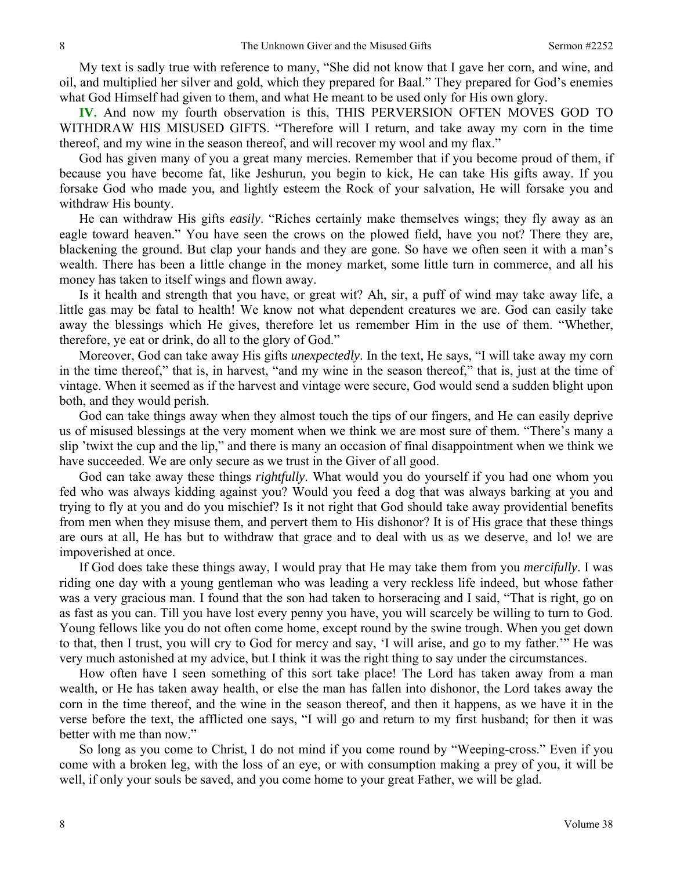My text is sadly true with reference to many, "She did not know that I gave her corn, and wine, and oil, and multiplied her silver and gold, which they prepared for Baal." They prepared for God's enemies what God Himself had given to them, and what He meant to be used only for His own glory.

**IV.** And now my fourth observation is this, THIS PERVERSION OFTEN MOVES GOD TO WITHDRAW HIS MISUSED GIFTS. "Therefore will I return, and take away my corn in the time thereof, and my wine in the season thereof, and will recover my wool and my flax."

God has given many of you a great many mercies. Remember that if you become proud of them, if because you have become fat, like Jeshurun, you begin to kick, He can take His gifts away. If you forsake God who made you, and lightly esteem the Rock of your salvation, He will forsake you and withdraw His bounty.

He can withdraw His gifts *easily*. "Riches certainly make themselves wings; they fly away as an eagle toward heaven." You have seen the crows on the plowed field, have you not? There they are, blackening the ground. But clap your hands and they are gone. So have we often seen it with a man's wealth. There has been a little change in the money market, some little turn in commerce, and all his money has taken to itself wings and flown away.

Is it health and strength that you have, or great wit? Ah, sir, a puff of wind may take away life, a little gas may be fatal to health! We know not what dependent creatures we are. God can easily take away the blessings which He gives, therefore let us remember Him in the use of them. "Whether, therefore, ye eat or drink, do all to the glory of God."

Moreover, God can take away His gifts *unexpectedly*. In the text, He says, "I will take away my corn in the time thereof," that is, in harvest, "and my wine in the season thereof," that is, just at the time of vintage. When it seemed as if the harvest and vintage were secure, God would send a sudden blight upon both, and they would perish.

God can take things away when they almost touch the tips of our fingers, and He can easily deprive us of misused blessings at the very moment when we think we are most sure of them. "There's many a slip 'twixt the cup and the lip," and there is many an occasion of final disappointment when we think we have succeeded. We are only secure as we trust in the Giver of all good.

God can take away these things *rightfully*. What would you do yourself if you had one whom you fed who was always kidding against you? Would you feed a dog that was always barking at you and trying to fly at you and do you mischief? Is it not right that God should take away providential benefits from men when they misuse them, and pervert them to His dishonor? It is of His grace that these things are ours at all, He has but to withdraw that grace and to deal with us as we deserve, and lo! we are impoverished at once.

If God does take these things away, I would pray that He may take them from you *mercifully*. I was riding one day with a young gentleman who was leading a very reckless life indeed, but whose father was a very gracious man. I found that the son had taken to horseracing and I said, "That is right, go on as fast as you can. Till you have lost every penny you have, you will scarcely be willing to turn to God. Young fellows like you do not often come home, except round by the swine trough. When you get down to that, then I trust, you will cry to God for mercy and say, 'I will arise, and go to my father.'" He was very much astonished at my advice, but I think it was the right thing to say under the circumstances.

How often have I seen something of this sort take place! The Lord has taken away from a man wealth, or He has taken away health, or else the man has fallen into dishonor, the Lord takes away the corn in the time thereof, and the wine in the season thereof, and then it happens, as we have it in the verse before the text, the afflicted one says, "I will go and return to my first husband; for then it was better with me than now."

So long as you come to Christ, I do not mind if you come round by "Weeping-cross." Even if you come with a broken leg, with the loss of an eye, or with consumption making a prey of you, it will be well, if only your souls be saved, and you come home to your great Father, we will be glad.